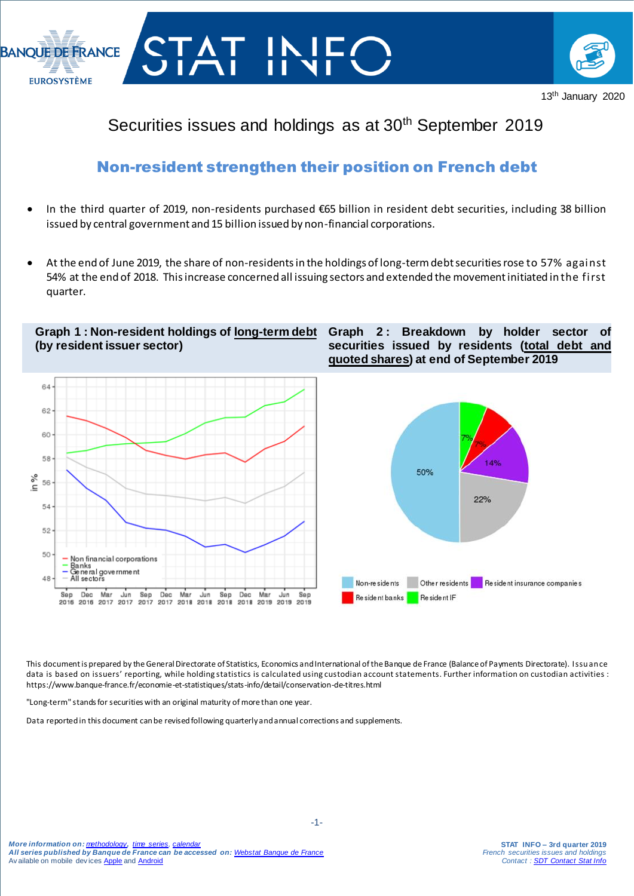



# Securities issues and holdings as at 30<sup>th</sup> September 2019

## Non-resident strengthen their position on French debt

- In the third quarter of 2019, non-residents purchased €65 billion in resident debt securities, including 38 billion issued by central government and 15 billion issued by non-financial corporations.
- At the end of June 2019, the share of non-residents in the holdings of long-term debt securities rose to 57% against 54% at the end of 2018. This increase concerned all issuing sectors and extended the movement initiated in the first quarter.

**Graph 1 : Non-resident holdings of long-term debt (by resident issuer sector)**



**Graph 2 : Breakdown by holder sector of securities issued by residents (total debt and quoted shares) at end of September 2019**



This document is prepared by the General Directorate of Statistics, Economics and International of the Banque de France (Balance of Payments Directorate). Issuance data is based on issuers' reporting, while holding statistics is calculated using custodian account statements. Further information on custodian activities : https://www.banque-france.fr/economie-et-statistiques/stats-info/detail/conservation-de-titres.html

"Long-term" stands for securities with an original maturity of more than one year.

I

Data reportedin this document can be revisedfollowing quarterlyand annual corrections and supplements.